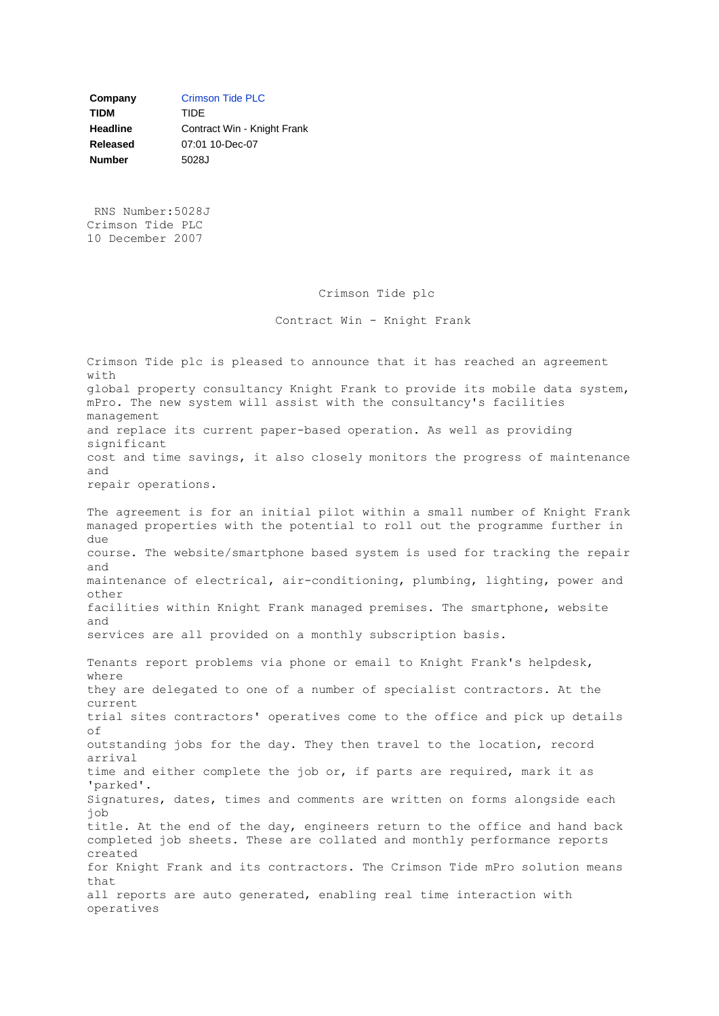**Company** [Crimson Tide PLC](javascript:%20sendto() **TIDM** TIDE **Headline Contract Win - Knight Frank Released** 07:01 10-Dec-07 **Number** 5028J

RNS Number:5028J Crimson Tide PLC 10 December 2007

Crimson Tide plc

Contract Win - Knight Frank

Crimson Tide plc is pleased to announce that it has reached an agreement with global property consultancy Knight Frank to provide its mobile data system, mPro. The new system will assist with the consultancy's facilities management and replace its current paper-based operation. As well as providing significant cost and time savings, it also closely monitors the progress of maintenance and repair operations. The agreement is for an initial pilot within a small number of Knight Frank managed properties with the potential to roll out the programme further in due course. The website/smartphone based system is used for tracking the repair and maintenance of electrical, air-conditioning, plumbing, lighting, power and other facilities within Knight Frank managed premises. The smartphone, website and services are all provided on a monthly subscription basis. Tenants report problems via phone or email to Knight Frank's helpdesk, where they are delegated to one of a number of specialist contractors. At the current trial sites contractors' operatives come to the office and pick up details of outstanding jobs for the day. They then travel to the location, record arrival time and either complete the job or, if parts are required, mark it as 'parked'. Signatures, dates, times and comments are written on forms alongside each job title. At the end of the day, engineers return to the office and hand back completed job sheets. These are collated and monthly performance reports created for Knight Frank and its contractors. The Crimson Tide mPro solution means that all reports are auto generated, enabling real time interaction with operatives